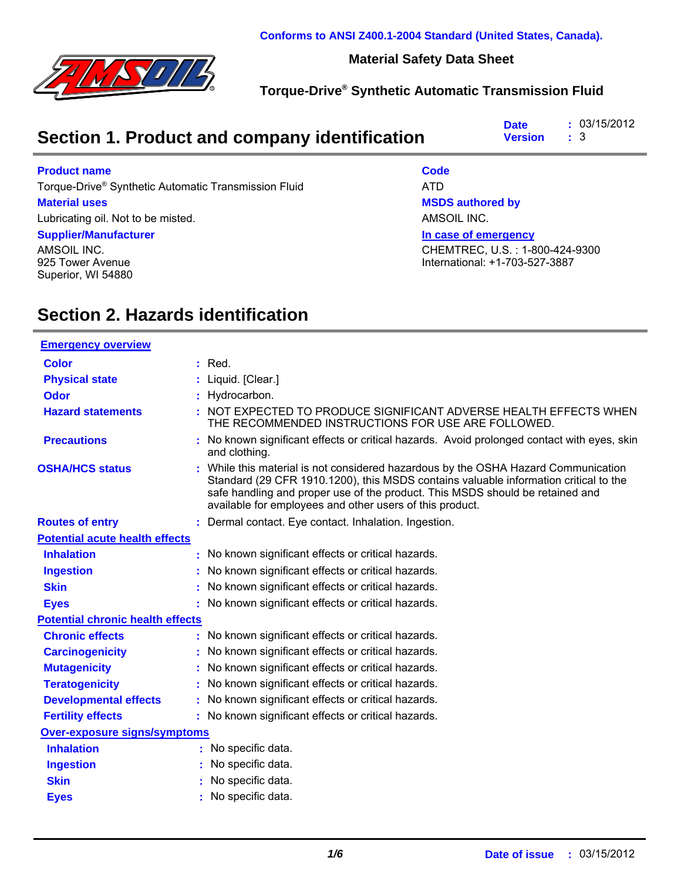

**Conforms to ANSI Z400.1-2004 Standard (United States, Canada).**

#### **Material Safety Data Sheet**

#### **Torque-Drive® Synthetic Automatic Transmission Fluid**

| Section 1. Product and company identification | : 03/15/2012<br><b>Date</b><br><b>Version</b> : 3 |  |
|-----------------------------------------------|---------------------------------------------------|--|
|-----------------------------------------------|---------------------------------------------------|--|

#### **Product name**

Torque-Drive® Synthetic Automatic Transmission Fluid ATD

#### **Material uses**

Lubricating oil. Not to be misted.

#### **Supplier/Manufacturer**

AMSOIL INC. 925 Tower Avenue Superior, WI 54880

#### **Code**

**MSDS authored by**

AMSOIL INC.

**In case of emergency**

CHEMTREC, U.S. : 1-800-424-9300 International: +1-703-527-3887

### **Section 2. Hazards identification**

| <b>Emergency overview</b>               |                                                                                                                                                                                                                                                                                                                         |
|-----------------------------------------|-------------------------------------------------------------------------------------------------------------------------------------------------------------------------------------------------------------------------------------------------------------------------------------------------------------------------|
| <b>Color</b>                            | : Red.                                                                                                                                                                                                                                                                                                                  |
| <b>Physical state</b>                   | : Liquid. [Clear.]                                                                                                                                                                                                                                                                                                      |
| <b>Odor</b>                             | : Hydrocarbon.                                                                                                                                                                                                                                                                                                          |
| <b>Hazard statements</b>                | : NOT EXPECTED TO PRODUCE SIGNIFICANT ADVERSE HEALTH EFFECTS WHEN<br>THE RECOMMENDED INSTRUCTIONS FOR USE ARE FOLLOWED.                                                                                                                                                                                                 |
| <b>Precautions</b>                      | No known significant effects or critical hazards. Avoid prolonged contact with eyes, skin<br>and clothing.                                                                                                                                                                                                              |
| <b>OSHA/HCS status</b>                  | : While this material is not considered hazardous by the OSHA Hazard Communication<br>Standard (29 CFR 1910.1200), this MSDS contains valuable information critical to the<br>safe handling and proper use of the product. This MSDS should be retained and<br>available for employees and other users of this product. |
| <b>Routes of entry</b>                  | : Dermal contact. Eye contact. Inhalation. Ingestion.                                                                                                                                                                                                                                                                   |
| <b>Potential acute health effects</b>   |                                                                                                                                                                                                                                                                                                                         |
| <b>Inhalation</b>                       | : No known significant effects or critical hazards.                                                                                                                                                                                                                                                                     |
| <b>Ingestion</b>                        | No known significant effects or critical hazards.                                                                                                                                                                                                                                                                       |
| <b>Skin</b>                             | No known significant effects or critical hazards.                                                                                                                                                                                                                                                                       |
| <b>Eyes</b>                             | : No known significant effects or critical hazards.                                                                                                                                                                                                                                                                     |
| <b>Potential chronic health effects</b> |                                                                                                                                                                                                                                                                                                                         |
| <b>Chronic effects</b>                  | No known significant effects or critical hazards.                                                                                                                                                                                                                                                                       |
| <b>Carcinogenicity</b>                  | : No known significant effects or critical hazards.                                                                                                                                                                                                                                                                     |
| <b>Mutagenicity</b>                     | No known significant effects or critical hazards.                                                                                                                                                                                                                                                                       |
| <b>Teratogenicity</b>                   | No known significant effects or critical hazards.                                                                                                                                                                                                                                                                       |
| <b>Developmental effects</b>            | No known significant effects or critical hazards.                                                                                                                                                                                                                                                                       |
| <b>Fertility effects</b>                | : No known significant effects or critical hazards.                                                                                                                                                                                                                                                                     |
| <b>Over-exposure signs/symptoms</b>     |                                                                                                                                                                                                                                                                                                                         |
| <b>Inhalation</b>                       | No specific data.                                                                                                                                                                                                                                                                                                       |
| <b>Ingestion</b>                        | No specific data.                                                                                                                                                                                                                                                                                                       |
| <b>Skin</b>                             | No specific data.                                                                                                                                                                                                                                                                                                       |
| <b>Eyes</b>                             | No specific data.                                                                                                                                                                                                                                                                                                       |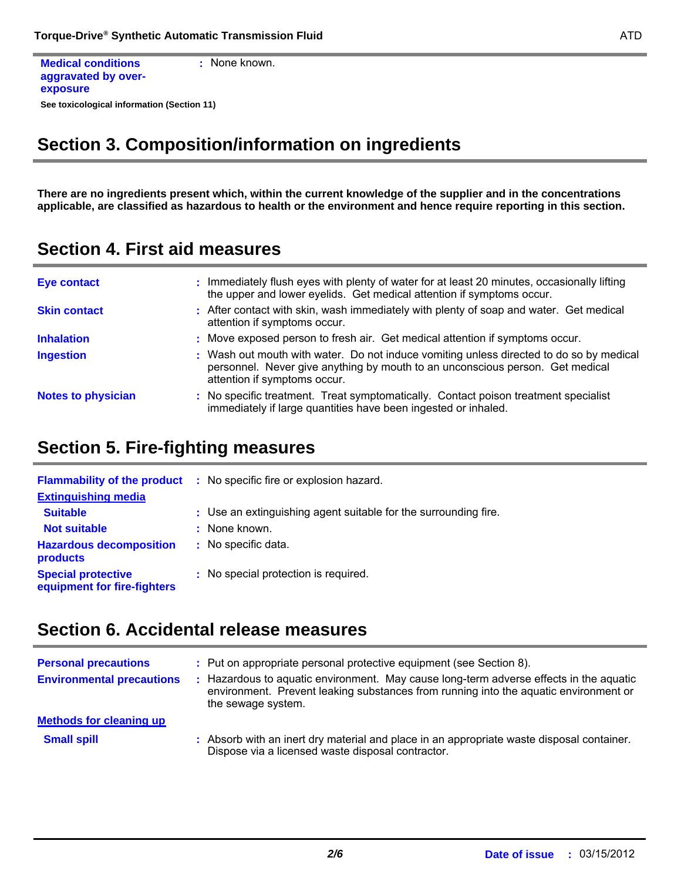```
See toxicological information (Section 11)
Medical conditions
aggravated by over-
exposure
                               : None known.
```
## **Section 3. Composition/information on ingredients**

**There are no ingredients present which, within the current knowledge of the supplier and in the concentrations applicable, are classified as hazardous to health or the environment and hence require reporting in this section.**

**Section 4. First aid measures**

| <b>Eye contact</b>        | : Immediately flush eyes with plenty of water for at least 20 minutes, occasionally lifting<br>the upper and lower eyelids. Get medical attention if symptoms occur.                                     |
|---------------------------|----------------------------------------------------------------------------------------------------------------------------------------------------------------------------------------------------------|
| <b>Skin contact</b>       | : After contact with skin, wash immediately with plenty of soap and water. Get medical<br>attention if symptoms occur.                                                                                   |
| <b>Inhalation</b>         | : Move exposed person to fresh air. Get medical attention if symptoms occur.                                                                                                                             |
| <b>Ingestion</b>          | : Wash out mouth with water. Do not induce vomiting unless directed to do so by medical<br>personnel. Never give anything by mouth to an unconscious person. Get medical<br>attention if symptoms occur. |
| <b>Notes to physician</b> | : No specific treatment. Treat symptomatically. Contact poison treatment specialist<br>immediately if large quantities have been ingested or inhaled.                                                    |

#### **Section 5. Fire-fighting measures**

| <b>Flammability of the product</b><br><b>Extinguishing media</b> | : No specific fire or explosion hazard.                         |
|------------------------------------------------------------------|-----------------------------------------------------------------|
|                                                                  |                                                                 |
| <b>Suitable</b>                                                  | : Use an extinguishing agent suitable for the surrounding fire. |
| <b>Not suitable</b>                                              | : None known.                                                   |
| <b>Hazardous decomposition</b><br>products                       | : No specific data.                                             |
| <b>Special protective</b><br>equipment for fire-fighters         | : No special protection is required.                            |

## **Section 6. Accidental release measures**

| <b>Personal precautions</b><br><b>Environmental precautions</b> | : Put on appropriate personal protective equipment (see Section 8).<br>: Hazardous to aquatic environment. May cause long-term adverse effects in the aquatic<br>environment. Prevent leaking substances from running into the aquatic environment or<br>the sewage system. |
|-----------------------------------------------------------------|-----------------------------------------------------------------------------------------------------------------------------------------------------------------------------------------------------------------------------------------------------------------------------|
| <b>Methods for cleaning up</b><br><b>Small spill</b>            | : Absorb with an inert dry material and place in an appropriate waste disposal container.<br>Dispose via a licensed waste disposal contractor.                                                                                                                              |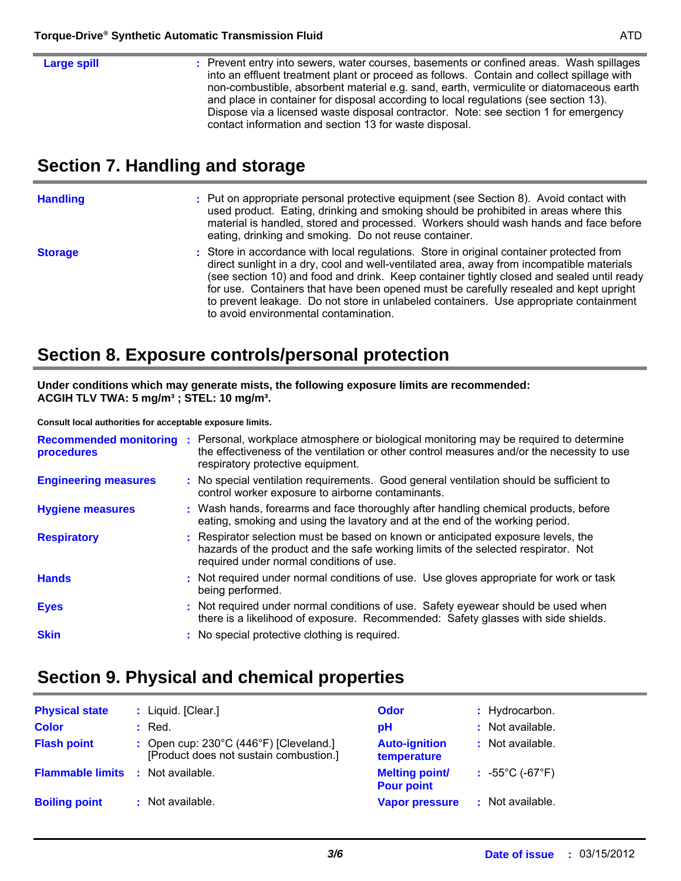| Large spill | : Prevent entry into sewers, water courses, basements or confined areas. Wash spillages<br>into an effluent treatment plant or proceed as follows. Contain and collect spillage with<br>non-combustible, absorbent material e.g. sand, earth, vermiculite or diatomaceous earth<br>and place in container for disposal according to local regulations (see section 13). |
|-------------|-------------------------------------------------------------------------------------------------------------------------------------------------------------------------------------------------------------------------------------------------------------------------------------------------------------------------------------------------------------------------|
|             | Dispose via a licensed waste disposal contractor. Note: see section 1 for emergency<br>contact information and section 13 for waste disposal.                                                                                                                                                                                                                           |

## **Section 7. Handling and storage**

| <b>Handling</b> | : Put on appropriate personal protective equipment (see Section 8). Avoid contact with<br>used product. Eating, drinking and smoking should be prohibited in areas where this<br>material is handled, stored and processed. Workers should wash hands and face before<br>eating, drinking and smoking. Do not reuse container.                                                                                                                                                                                |
|-----------------|---------------------------------------------------------------------------------------------------------------------------------------------------------------------------------------------------------------------------------------------------------------------------------------------------------------------------------------------------------------------------------------------------------------------------------------------------------------------------------------------------------------|
| <b>Storage</b>  | : Store in accordance with local regulations. Store in original container protected from<br>direct sunlight in a dry, cool and well-ventilated area, away from incompatible materials<br>(see section 10) and food and drink. Keep container tightly closed and sealed until ready<br>for use. Containers that have been opened must be carefully resealed and kept upright<br>to prevent leakage. Do not store in unlabeled containers. Use appropriate containment<br>to avoid environmental contamination. |

### **Section 8. Exposure controls/personal protection**

**Under conditions which may generate mists, the following exposure limits are recommended: ACGIH TLV TWA: 5 mg/m³ ; STEL: 10 mg/m³.**

**Consult local authorities for acceptable exposure limits.**

| procedures                  | Recommended monitoring : Personal, workplace atmosphere or biological monitoring may be required to determine<br>the effectiveness of the ventilation or other control measures and/or the necessity to use<br>respiratory protective equipment. |
|-----------------------------|--------------------------------------------------------------------------------------------------------------------------------------------------------------------------------------------------------------------------------------------------|
| <b>Engineering measures</b> | : No special ventilation requirements. Good general ventilation should be sufficient to<br>control worker exposure to airborne contaminants.                                                                                                     |
| <b>Hygiene measures</b>     | : Wash hands, forearms and face thoroughly after handling chemical products, before<br>eating, smoking and using the lavatory and at the end of the working period.                                                                              |
| <b>Respiratory</b>          | : Respirator selection must be based on known or anticipated exposure levels, the<br>hazards of the product and the safe working limits of the selected respirator. Not<br>required under normal conditions of use.                              |
| <b>Hands</b>                | : Not required under normal conditions of use. Use gloves appropriate for work or task<br>being performed.                                                                                                                                       |
| <b>Eyes</b>                 | : Not required under normal conditions of use. Safety eyewear should be used when<br>there is a likelihood of exposure. Recommended: Safety glasses with side shields.                                                                           |
| <b>Skin</b>                 | : No special protective clothing is required.                                                                                                                                                                                                    |

# **Section 9. Physical and chemical properties**

| <b>Physical state</b>   | : Liquid. [Clear.]                                                                         | <b>Odor</b>                                | : Hydrocarbon.                      |
|-------------------------|--------------------------------------------------------------------------------------------|--------------------------------------------|-------------------------------------|
| <b>Color</b>            | $\therefore$ Red.                                                                          | рH                                         | : Not available.                    |
| <b>Flash point</b>      | : Open cup: $230^{\circ}$ C (446°F) [Cleveland.]<br>[Product does not sustain combustion.] | <b>Auto-ignition</b><br>temperature        | : Not available.                    |
| <b>Flammable limits</b> | : Not available.                                                                           | <b>Melting point/</b><br><b>Pour point</b> | $: 55^{\circ}$ C (-67 $^{\circ}$ F) |
| <b>Boiling point</b>    | : Not available.                                                                           | <b>Vapor pressure</b>                      | : Not available.                    |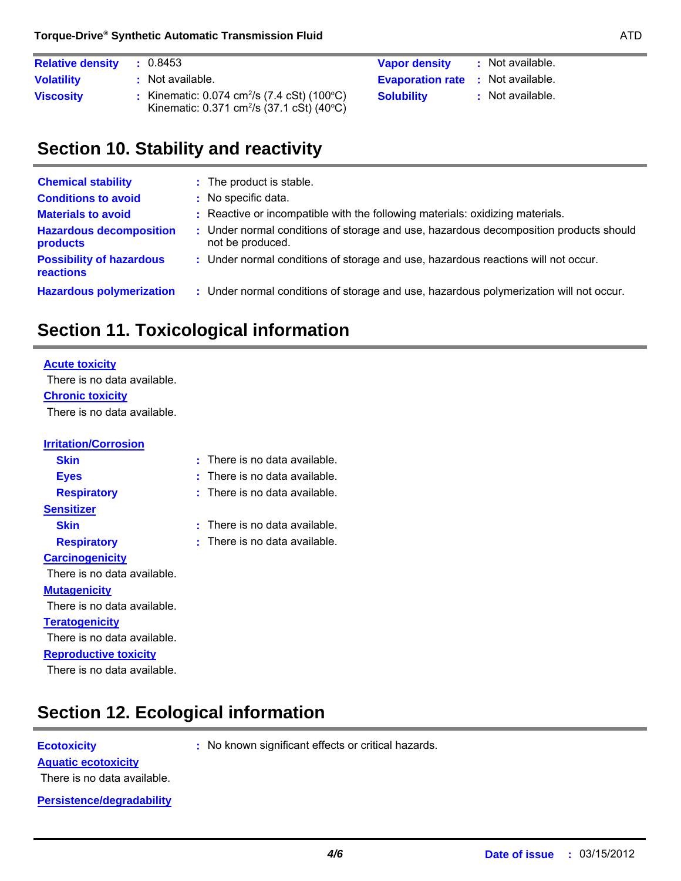| <b>Relative density</b> | : Not available.<br><b>Vapor density</b><br>: 0.8453                                                                                                                                      |  |
|-------------------------|-------------------------------------------------------------------------------------------------------------------------------------------------------------------------------------------|--|
| <b>Volatility</b>       | : Not available.<br><b>Evaporation rate</b> : Not available.                                                                                                                              |  |
| <b>Viscosity</b>        | : Kinematic: $0.074 \text{ cm}^2/\text{s}$ (7.4 cSt) (100 $^{\circ}$ C)<br>: Not available.<br><b>Solubility</b><br>Kinematic: $0.371 \text{ cm}^2/\text{s}$ (37.1 cSt) (40 $^{\circ}$ C) |  |

## **Section 10. Stability and reactivity**

| <b>Chemical stability</b>                           | : The product is stable.                                                                                  |
|-----------------------------------------------------|-----------------------------------------------------------------------------------------------------------|
| <b>Conditions to avoid</b>                          | : No specific data.                                                                                       |
| <b>Materials to avoid</b>                           | : Reactive or incompatible with the following materials: oxidizing materials.                             |
| <b>Hazardous decomposition</b><br>products          | : Under normal conditions of storage and use, hazardous decomposition products should<br>not be produced. |
| <b>Possibility of hazardous</b><br><b>reactions</b> | : Under normal conditions of storage and use, hazardous reactions will not occur.                         |
| <b>Hazardous polymerization</b>                     | : Under normal conditions of storage and use, hazardous polymerization will not occur.                    |

# **Section 11. Toxicological information**

## **Acute toxicity**

**Chronic toxicity** There is no data available. There is no data available.

| <b>Irritation/Corrosion</b>  |                             |
|------------------------------|-----------------------------|
| Skin                         | There is no data available. |
| <b>Eyes</b>                  | There is no data available. |
| <b>Respiratory</b>           | There is no data available. |
| <b>Sensitizer</b>            |                             |
| <b>Skin</b>                  | There is no data available. |
| <b>Respiratory</b>           | There is no data available. |
| <b>Carcinogenicity</b>       |                             |
| There is no data available.  |                             |
| <b>Mutagenicity</b>          |                             |
| There is no data available.  |                             |
| <b>Teratogenicity</b>        |                             |
| There is no data available.  |                             |
| <b>Reproductive toxicity</b> |                             |
| There is no data available.  |                             |

# **Section 12. Ecological information**

**Ecotoxicity :** No known significant effects or critical hazards.

There is no data available.

**Aquatic ecotoxicity**

**Persistence/degradability**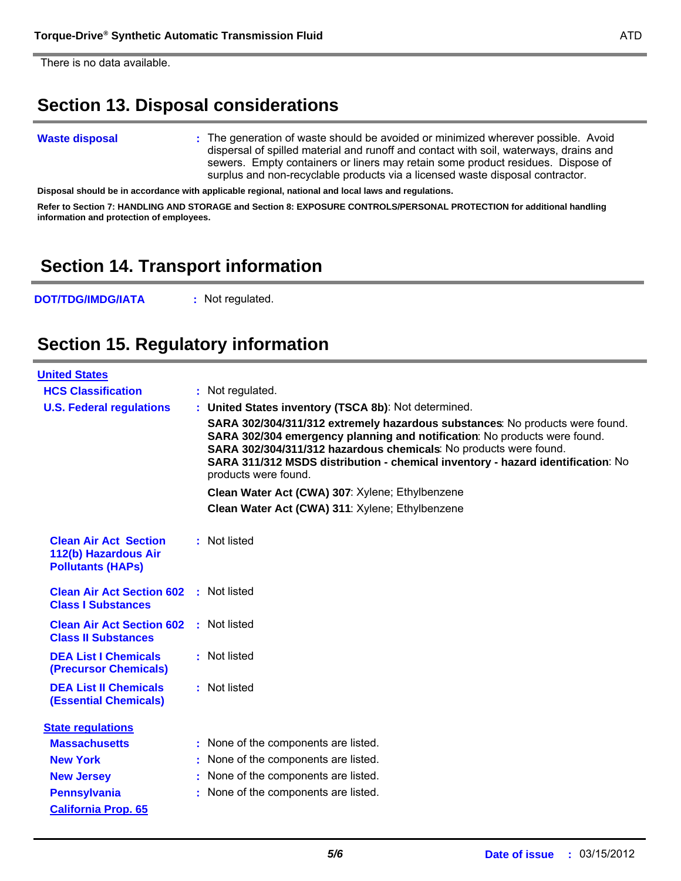There is no data available.

### **Section 13. Disposal considerations**

#### **Waste disposal**

The generation of waste should be avoided or minimized wherever possible. Avoid **:** dispersal of spilled material and runoff and contact with soil, waterways, drains and sewers. Empty containers or liners may retain some product residues. Dispose of surplus and non-recyclable products via a licensed waste disposal contractor.

**Disposal should be in accordance with applicable regional, national and local laws and regulations.**

**Refer to Section 7: HANDLING AND STORAGE and Section 8: EXPOSURE CONTROLS/PERSONAL PROTECTION for additional handling information and protection of employees.**

#### **Section 14. Transport information**

**DOT/TDG/IMDG/IATA :** Not regulated.

#### **Section 15. Regulatory information**

| <b>United States</b>                                                             |  |                                                                                                                                                                                                                                                                                                                                           |  |  |  |
|----------------------------------------------------------------------------------|--|-------------------------------------------------------------------------------------------------------------------------------------------------------------------------------------------------------------------------------------------------------------------------------------------------------------------------------------------|--|--|--|
| <b>HCS Classification</b>                                                        |  | : Not regulated.                                                                                                                                                                                                                                                                                                                          |  |  |  |
| <b>U.S. Federal regulations</b>                                                  |  | : United States inventory (TSCA 8b): Not determined.                                                                                                                                                                                                                                                                                      |  |  |  |
|                                                                                  |  | SARA 302/304/311/312 extremely hazardous substances: No products were found.<br>SARA 302/304 emergency planning and notification: No products were found.<br>SARA 302/304/311/312 hazardous chemicals: No products were found.<br>SARA 311/312 MSDS distribution - chemical inventory - hazard identification: No<br>products were found. |  |  |  |
|                                                                                  |  | Clean Water Act (CWA) 307: Xylene; Ethylbenzene                                                                                                                                                                                                                                                                                           |  |  |  |
|                                                                                  |  | Clean Water Act (CWA) 311: Xylene; Ethylbenzene                                                                                                                                                                                                                                                                                           |  |  |  |
| <b>Clean Air Act Section</b><br>112(b) Hazardous Air<br><b>Pollutants (HAPs)</b> |  | : Not listed                                                                                                                                                                                                                                                                                                                              |  |  |  |
| <b>Clean Air Act Section 602 : Not listed</b><br><b>Class I Substances</b>       |  |                                                                                                                                                                                                                                                                                                                                           |  |  |  |
| <b>Clean Air Act Section 602</b><br><b>Class II Substances</b>                   |  | : Not listed                                                                                                                                                                                                                                                                                                                              |  |  |  |
| <b>DEA List I Chemicals</b><br><b>(Precursor Chemicals)</b>                      |  | : Not listed                                                                                                                                                                                                                                                                                                                              |  |  |  |
| <b>DEA List II Chemicals</b><br><b>(Essential Chemicals)</b>                     |  | : Not listed                                                                                                                                                                                                                                                                                                                              |  |  |  |
| <b>State regulations</b>                                                         |  |                                                                                                                                                                                                                                                                                                                                           |  |  |  |
| <b>Massachusetts</b>                                                             |  | : None of the components are listed.                                                                                                                                                                                                                                                                                                      |  |  |  |
| <b>New York</b>                                                                  |  | : None of the components are listed.                                                                                                                                                                                                                                                                                                      |  |  |  |
| <b>New Jersey</b>                                                                |  | : None of the components are listed.                                                                                                                                                                                                                                                                                                      |  |  |  |
| <b>Pennsylvania</b>                                                              |  | : None of the components are listed.                                                                                                                                                                                                                                                                                                      |  |  |  |
| <b>California Prop. 65</b>                                                       |  |                                                                                                                                                                                                                                                                                                                                           |  |  |  |